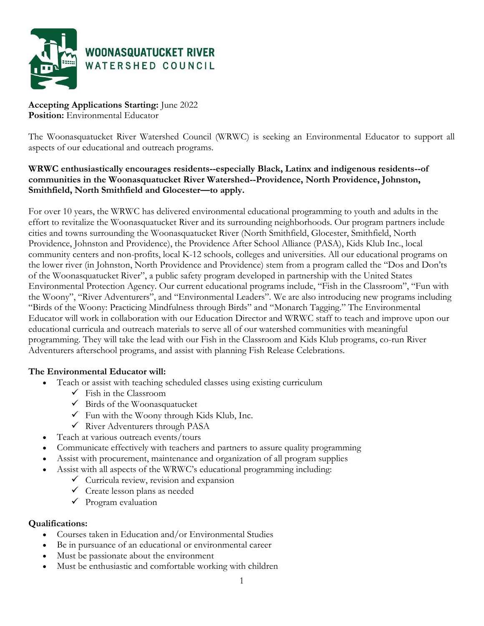

**Accepting Applications Starting:** June 2022 **Position:** Environmental Educator

The Woonasquatucket River Watershed Council (WRWC) is seeking an Environmental Educator to support all aspects of our educational and outreach programs.

# **WRWC enthusiastically encourages residents--especially Black, Latinx and indigenous residents--of communities in the Woonasquatucket River Watershed--Providence, North Providence, Johnston, Smithfield, North Smithfield and Glocester—to apply.**

For over 10 years, the WRWC has delivered environmental educational programming to youth and adults in the effort to revitalize the Woonasquatucket River and its surrounding neighborhoods. Our program partners include cities and towns surrounding the Woonasquatucket River (North Smithfield, Glocester, Smithfield, North Providence, Johnston and Providence), the Providence After School Alliance (PASA), Kids Klub Inc., local community centers and non-profits, local K-12 schools, colleges and universities. All our educational programs on the lower river (in Johnston, North Providence and Providence) stem from a program called the "Dos and Don'ts of the Woonasquatucket River", a public safety program developed in partnership with the United States Environmental Protection Agency. Our current educational programs include, "Fish in the Classroom", "Fun with the Woony", "River Adventurers", and "Environmental Leaders". We are also introducing new programs including "Birds of the Woony: Practicing Mindfulness through Birds" and "Monarch Tagging." The Environmental Educator will work in collaboration with our Education Director and WRWC staff to teach and improve upon our educational curricula and outreach materials to serve all of our watershed communities with meaningful programming. They will take the lead with our Fish in the Classroom and Kids Klub programs, co-run River Adventurers afterschool programs, and assist with planning Fish Release Celebrations.

## **The Environmental Educator will:**

- Teach or assist with teaching scheduled classes using existing curriculum
	- $\checkmark$  Fish in the Classroom
	- $\checkmark$  Birds of the Woonasquatucket
	- $\checkmark$  Fun with the Woony through Kids Klub, Inc.
	- $\checkmark$  River Adventurers through PASA
- Teach at various outreach events/tours
- Communicate effectively with teachers and partners to assure quality programming
- Assist with procurement, maintenance and organization of all program supplies
- Assist with all aspects of the WRWC's educational programming including:
	- $\checkmark$  Curricula review, revision and expansion
	- $\checkmark$  Create lesson plans as needed
	- $\checkmark$  Program evaluation

## **Qualifications:**

- Courses taken in Education and/or Environmental Studies
- Be in pursuance of an educational or environmental career
- Must be passionate about the environment
- Must be enthusiastic and comfortable working with children